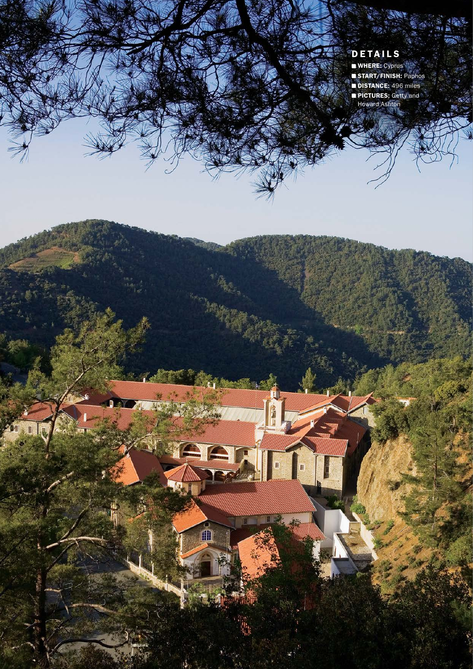# **DETAILS**

顺私

**SAME** 

Al-Manitya

idi e

Tü

曲

a.

m

E

WHERE: Cyprus START/FINISH: Paphos DISTANCE: 496 miles PICTURES: Getty and Howard Ashton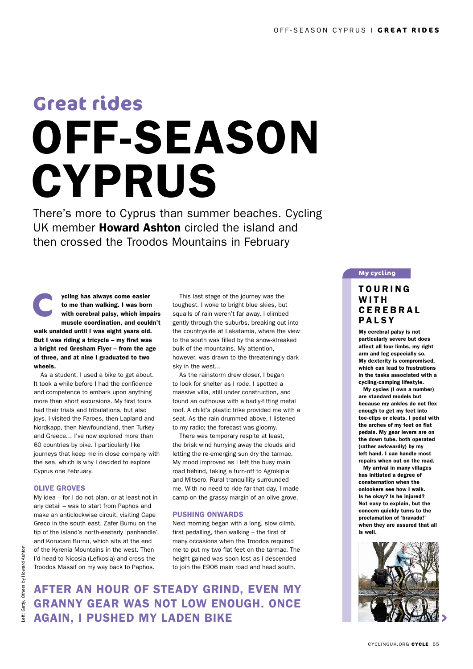# OFF-SEASON **CYPRUS Great rides**

There's more to Cyprus than summer beaches. Cycling UK member **Howard Ashton** circled the island and then crossed the Troodos Mountains in February

**C** ycling has always come easier to me than walking. I was born with cerebral palsy, which impairs muscle coordination, and couldn't walk unaided until I was eight years old. But I was riding a tricycle – my first was a bright red Gresham Flyer – from the age of three, and at nine I graduated to two wheels.

As a student, I used a bike to get about. It took a while before I had the confidence and competence to embark upon anything more than short excursions. My first tours had their trials and tribulations, but also joys. I visited the Faroes, then Lapland and Nordkapp, then Newfoundland, then Turkey and Greece… I've now explored more than 60 countries by bike. I particularly like journeys that keep me in close company with the sea, which is why I decided to explore Cyprus one February.

### OLIVE GROVES

My idea – for I do not plan, or at least not in any detail – was to start from Paphos and make an anticlockwise circuit, visiting Cape Greco in the south east, Zafer Burnu on the tip of the island's north-easterly 'panhandle', and Korucam Burnu, which sits at the end of the Kyrenia Mountains in the west. Then I'd head to Nicosia (Lefkosia) and cross the Troodos Massif on my way back to Paphos.

This last stage of the journey was the toughest. I woke to bright blue skies, but squalls of rain weren't far away. I climbed gently through the suburbs, breaking out into the countryside at Lakatamia, where the view to the south was filled by the snow-streaked bulk of the mountains. My attention, however, was drawn to the threateningly dark sky in the west…

As the rainstorm drew closer, I began to look for shelter as I rode. I spotted a massive villa, still under construction, and found an outhouse with a badly-fitting metal roof. A child's plastic trike provided me with a seat. As the rain drummed above, I listened to my radio; the forecast was gloomy.

There was temporary respite at least, the brisk wind hurrying away the clouds and letting the re-emerging sun dry the tarmac. My mood improved as I left the busy main road behind, taking a turn-off to Agrokipia and Mitsero. Rural tranquillity surrounded me. With no need to ride far that day, I made camp on the grassy margin of an olive grove.

### PUSHING ONWARDS

Next morning began with a long, slow climb, first pedalling, then walking – the first of many occasions when the Troodos required me to put my two flat feet on the tarmac. The height gained was soon lost as I descended to join the E906 main road and head south.

AFTER AN HOUR OF STEADY GRIND, EVEN MY GRANNY GEAR WAS NOT LOW ENOUGH. ONCE AGAIN, I PUSHED MY LADEN BIKE

### **My cycling**

### **TOURING** WITH **CEREBRAL** PALSY

My cerebral palsy is not particularly severe but does affect all four limbs, my right arm and leg especially so. My dexterity is compromised, which can lead to frustrations in the tasks associated with a cycling-camping lifestyle.

My cycles (I own a number) are standard models but because my ankles do not flex enough to get my feet into toe-clips or cleats, I pedal with the arches of my feet on flat pedals. My gear levers are on the down tube, both operated (rather awkwardly) by my left hand. I can handle most repairs when out on the road.

My arrival in many villages has initiated a degree of consternation when the onlookers see how I walk. Is he okay? Is he injured? Not easy to explain, but the concern quickly turns to the proclamation of 'bravado!' when they are assured that all is well.

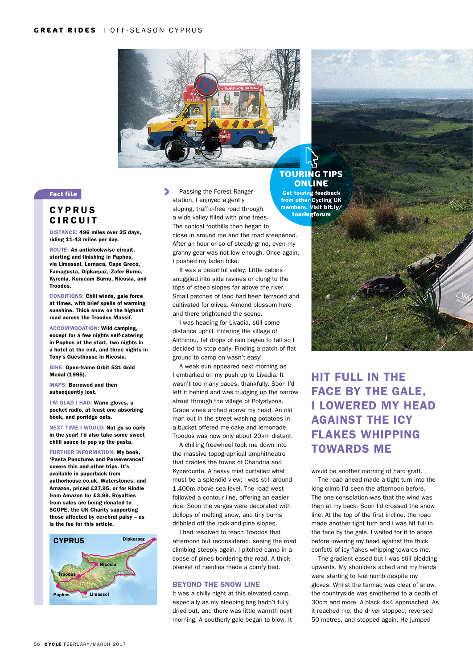

### **Fact file**

### **CYPRUS CIRCUIT**

DISTANCE: 496 miles over 25 days, riding 11-43 miles per day.

ROUTE: An anticlockwise circuit, starting and finishing in Paphos, via Limassol, Larnaca, Cape Greco, Famagusta, Dipkarpaz, Zafer Burnu, Kyrenia, Korucam Burnu, Nicosia, and Troodos.

CONDITIONS: Chill winds, gale force at times, with brief spells of warming sunshine. Thick snow on the highest road across the Troodos Massif.

ACCOMMODATION: Wild camping, except for a few nights self-catering in Paphos at the start, two nights in a hotel at the end, and three nights in Tony's Guesthouse in Nicosia.

BIKE: Open-frame Orbit 531 Gold Medal (1995).

MAPS: Borrowed and then subsequently lost.

I'M GLAD I HAD: Warm gloves, a pocket radio, at least one absorbing book, and porridge oats.

NEXT TIME I WOULD: Not go so early in the year! I'd also take some sweet chilli sauce to pep up the pasta.

FURTHER INFORMATION: My book, 'Pasta Punctures and Perseverance!' covers this and other trips. It's available in paperback from authorhouse.co.uk, Waterstones, and Amazon, priced £27.95, or for Kindle from Amazon for £3.99. Royalties from sales are being donated to SCOPE, the UK Charity supporting those affected by cerebral palsy – as is the fee for this article.



Passing the Forest Ranger station, I enjoyed a gently sloping, traffic-free road through a wide valley filled with pine trees. The conical foothills then began to close in around me and the road steepened. After an hour or so of steady grind, even my granny gear was not low enough. Once again, I pushed my laden bike.

It was a beautiful valley. Little cabins snuggled into side ravines or clung to the tops of steep slopes far above the river. Small patches of land had been terraced and cultivated for olives. Almond blossom here and there brightened the scene.

I was heading for Livadia, still some distance uphill. Entering the village of Alithinou, fat drops of rain began to fall so I decided to stop early. Finding a patch of flat ground to camp on wasn't easy!

A weak sun appeared next morning as I embarked on my push up to Livadia. It wasn't too many paces, thankfully. Soon I'd left it behind and was trudging up the narrow street through the village of Polystypos. Grape vines arched above my head. An old man out in the street washing potatoes in a bucket offered me cake and lemonade. Troodos was now only about 20km distant.

A chilling freewheel took me down into the massive topographical amphitheatre that cradles the towns of Chandria and Kyperounta. A heavy mist curtailed what must be a splendid view; I was still around 1,400m above sea level. The road west followed a contour line, offering an easier ride. Soon the verges were decorated with dollops of melting snow, and tiny burns dribbled off the rock-and-pine slopes.

I had resolved to reach Troodos that afternoon but reconsidered, seeing the road climbing steeply again. I pitched camp in a copse of pines bordering the road. A thick blanket of needles made a comfy bed.

### BEYOND THE SNOW LINE

It was a chilly night at this elevated camp, especially as my sleeping bag hadn't fully dried out, and there was little warmth next morning. A southerly gale began to blow. It

### **TOURING TIPS ONLINE**

Get touring feedback from other Cycling UK members. Visit bit.ly/ touringforum



## HIT FULL IN THE FACE BY THE GALE, I LOWERED MY HEAD AGAINST THE ICY FLAKES WHIPPING TOWARDS ME

would be another morning of hard graft.

The road ahead made a tight turn into the long climb I'd seen the afternoon before. The one consolation was that the wind was then at my back. Soon I'd crossed the snow line. At the top of the first incline, the road made another tight turn and I was hit full in the face by the gale. I waited for it to abate before lowering my head against the thick confetti of icy flakes whipping towards me.

The gradient eased but I was still plodding upwards. My shoulders ached and my hands were starting to feel numb despite my gloves. Whilst the tarmac was clear of snow, the countryside was smothered to a depth of 30cm and more. A black 4×4 approached. As it reached me, the driver stopped, reversed 50 metres, and stopped again. He jumped